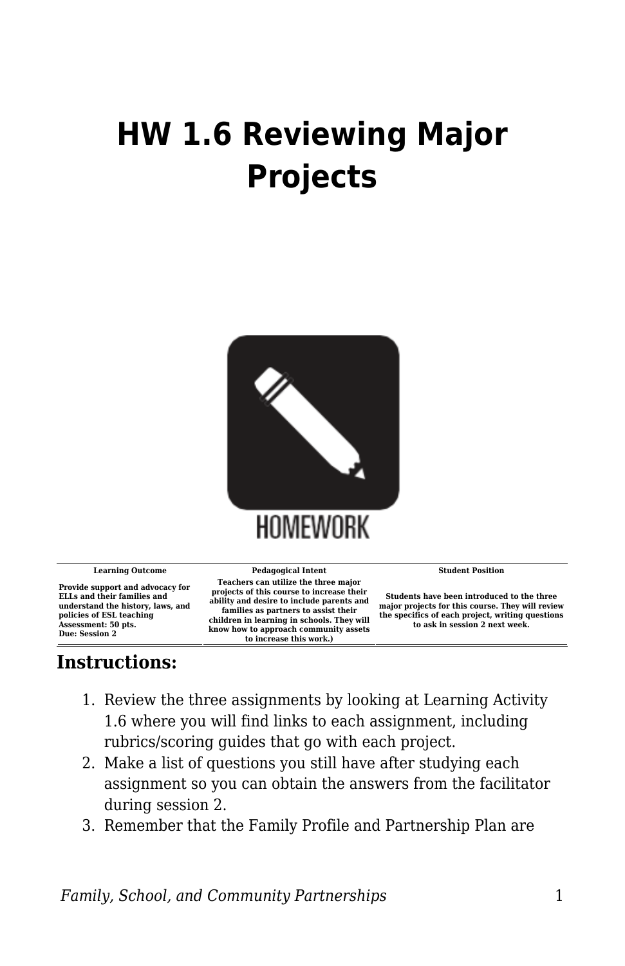## **HW 1.6 Reviewing Major Projects**



**Provide support and advocacy for ELLs and their families and understand the history, laws, and policies of ESL teaching Assessment: 50 pts. Due: Session 2**

**Learning Outcome Pedagogical Intent Student Position Teachers can utilize the three major projects of this course to increase their ability and desire to include parents and families as partners to assist their children in learning in schools. They will know how to approach community assets to increase this work.)**

**Students have been introduced to the three major projects for this course. They will review the specifics of each project, writing questions to ask in session 2 next week.**

## **Instructions:**

- 1. Review the three assignments by looking at Learning Activity 1.6 where you will find links to each assignment, including rubrics/scoring guides that go with each project.
- 2. Make a list of questions you still have after studying each assignment so you can obtain the answers from the facilitator during session 2.
- 3. Remember that the Family Profile and Partnership Plan are